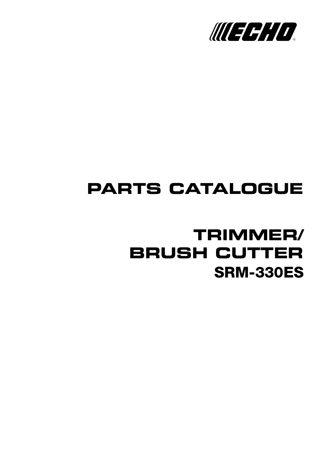

# **PARTS CATALOGUE**

## **SRM-330ES TRIMMER/ BRUSH CUTTER**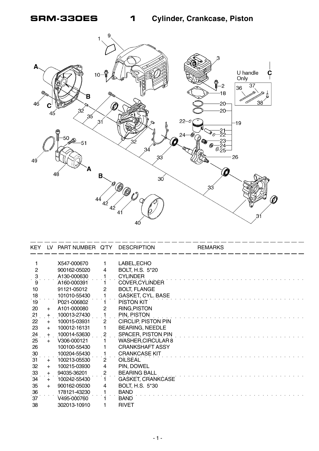**SRM-330ES 1 Cylinder, Crankcase, Piston**



| KEY.            | LV  | PART NUMBER Q'TY |                         | <b>DESCRIPTION</b>         | <b>REMARKS</b> |
|-----------------|-----|------------------|-------------------------|----------------------------|----------------|
|                 |     |                  |                         |                            |                |
|                 |     | X547-000670      |                         | LABEL, ECHO                |                |
| $\overline{2}$  |     | 900162-05020     | 4                       | BOLT, H.S. 5*20            |                |
| $\ddot{\cdot}$  |     | A130-000630      |                         | <b>CYLINDER</b>            |                |
| 9               |     | A160-000391      |                         | <b>COVER, CYLINDER</b>     |                |
| 10              |     | 91121-05012      | 2                       | <b>BOLT, FLANGE</b>        |                |
| 18              |     | 101010-55430     |                         | <b>GASKET, CYL. BASE</b>   |                |
| 19              |     | P021-006802      |                         | PISTON KIT                 |                |
| 20              | $+$ | A101-000080      | 2                       | <b>RING, PISTON</b>        |                |
| $\frac{21}{1}$  | $+$ | 100013-27430     |                         | PIN, PISTON                |                |
| 22              | $+$ | 100015-03931     | $\mathbf{2}$            | <b>CIRCLIP, PISTON PIN</b> |                |
| 23              | $+$ | 100012-16131     | 1                       | <b>BEARING, NEEDLE</b>     |                |
| 24              | $+$ | 100014-53630     | $\overline{c}$          | SPACER, PISTON PIN         |                |
| 25              | $+$ | V306-000121      |                         | WASHER, CIRCULAR 8         |                |
| 26              |     | 100100-55430     |                         | <b>CRANKSHAFT ASSY</b>     |                |
| 30              |     | 100204-55430     |                         | <b>CRANKCASE KIT</b>       |                |
| 31              | $+$ | 100213-05530     | $\overline{2}$          | <b>OILSEAL</b>             |                |
| 32              | $+$ | 100215-03930     | 4                       | PIN, DOWEL                 |                |
| 33              | $+$ | 94035-36201      | $\overline{\mathbf{c}}$ | <b>BEARING BALL</b>        |                |
| 34              | $+$ | 100242-55430     | 1                       | <b>GASKET, CRANKCASE</b>   |                |
| 35              | $+$ | 900162-05030     | 4                       | BOLT, H.S. 5*30            |                |
|                 |     | 178121-43230     |                         | <b>BAND</b>                |                |
| $\frac{36}{37}$ |     | V495-000760      |                         | <b>BAND</b>                |                |
| 38              |     | 302013-10910     |                         | <b>RIVET</b>               |                |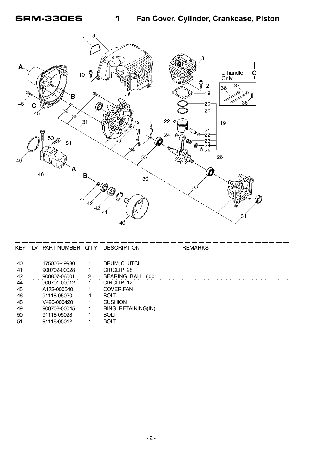

| <b>KEY</b> | LV. | PART NUMBER Q'TY |   | <b>DESCRIPTION</b>  | <b>REMARKS</b> |
|------------|-----|------------------|---|---------------------|----------------|
|            |     |                  |   |                     |                |
| 40         |     | 175005-49930     |   | DRUM, CLUTCH        |                |
| 41         |     | 900702-00028     |   | CIRCLIP 28          |                |
| 42         |     | 900807-06001     | 2 | BEARING, BALL 6001  |                |
| 44         |     | 900701-00012     |   | CIRCLIP 12          |                |
| 45         |     | A172-000540      |   | COVER, FAN          |                |
| 46         |     | 91118-05020      | 4 | <b>BOLT</b>         |                |
| 48         |     | V420-000420      |   | <b>CUSHION</b>      |                |
| 49         |     | 900702-00045     |   | RING, RETAINING(IN) |                |
| 50         |     | 91118-05028      |   | BOLT                |                |
| 51         |     | 91118-05012      |   | <b>BOLT</b>         |                |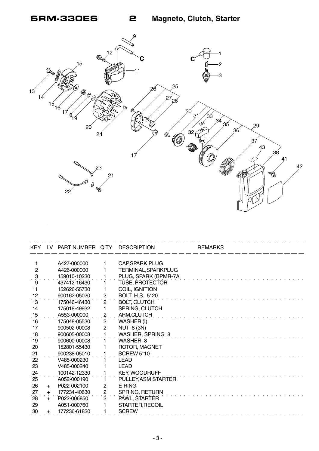**SRM-330ES 2 Magneto, Clutch, Starter**



| <b>KEY</b>          | LV. | PART NUMBER Q'TY |                          | <b>DESCRIPTION</b>     | <b>REMARKS</b> |
|---------------------|-----|------------------|--------------------------|------------------------|----------------|
|                     |     |                  |                          |                        |                |
| 1<br>$\overline{2}$ |     | A427-000000      |                          | <b>CAP, SPARK PLUG</b> |                |
|                     |     | A426-000000      |                          | TERMINAL, SPARKPLUG    |                |
| $\cdot$ 3           |     | 159010-10230     |                          | PLUG, SPARK (BPMR-7A   |                |
| 9                   |     | 437412-16430     |                          | TUBE, PROTECTOR        |                |
| 11                  |     | 152626-55730     |                          | COIL, IGNITION         |                |
| 12<br>13            |     | 900162-05020     | $\overline{c}$           | BOLT, H.S. 5*20        |                |
|                     |     | 175046-46430     | $\overline{2}$           | BOLT, CLUTCH           |                |
| 14                  |     | 175018-49932     | 1                        | SPRING, CLUTCH         |                |
| .15                 |     | A553-000000      | $\overline{\mathcal{L}}$ | ARM, CLUTCH            |                |
| 16                  |     | 175048-05530     | $\overline{2}$           | WASHER (I)             |                |
| 17                  |     | 900502-00008     | $\overline{c}$           | <b>NUT 8 (3N)</b>      |                |
| $^{18}$             |     | 900605-00008     |                          | WASHER, SPRING 8       |                |
| 19                  |     | 900600-00008     |                          | WASHER 8               |                |
| 20                  |     | 152801-55430     |                          | ROTOR, MAGNET          |                |
| 21                  |     | 900238-05010     |                          | <b>SCREW 5*10</b>      |                |
| 22                  |     | V485-000230      |                          | <b>LEAD</b>            |                |
| 23                  |     | V485-000240      |                          | <b>LEAD</b>            |                |
| 24                  |     | 100142-12330     |                          | <b>KEY, WOODRUFF</b>   |                |
| 25                  |     | A052-000190      |                          | PULLEY, ASM STARTER    |                |
| 26                  | $+$ | P022-002100      | $\mathbf{2}$             | E-RING                 |                |
| 27                  | $+$ | 177234-40630     | $\overline{c}$           | SPRING, RETURN         |                |
| 28                  | $+$ | P022-006850      | $\mathbf{2}^{\prime}$    | PAWL, STARTER          |                |
| 29                  |     | A051-000760      |                          | STARTER, RECOIL        |                |
| 30                  | +   | 177236-61830     |                          | <b>SCREW</b>           |                |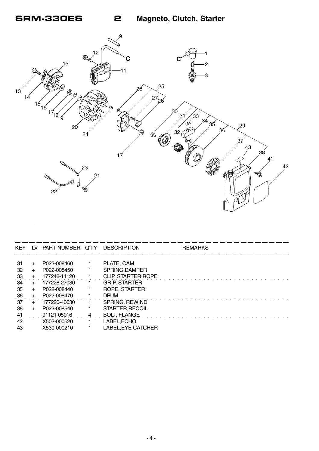

| <b>KEY</b>     |       | LV PART NUMBER Q'TY DESCRIPTION |                           | <b>REMARKS</b> |  |
|----------------|-------|---------------------------------|---------------------------|----------------|--|
|                |       |                                 |                           |                |  |
| 31             | $\pm$ | P022-008460                     | PLATE, CAM                |                |  |
| 32             | $+$   | P022-008450                     | SPRING, DAMPER            |                |  |
| $\frac{33}{5}$ |       | 177246-11120                    | <b>CLIP, STARTER ROPE</b> |                |  |
| 34             |       | 177228-27030                    | <b>GRIP, STARTER</b>      |                |  |
| 35             | $+$   | P022-008440                     | ROPE, STARTER             |                |  |
| 36             |       | P022-008470                     | <b>DRUM</b>               |                |  |
| ์37            |       | 177220-40630                    | SPRING, REWIND            |                |  |
| 38             | $+$   | P022-008540                     | STARTER, RECOIL           |                |  |
| 41             |       | 91121-05016                     | <b>BOLT, FLANGE</b>       |                |  |
| 42             |       | X502-000520                     | LABEL, ECHO               |                |  |
| 43             |       | X530-000210                     | LABEL, EYE CATCHER        |                |  |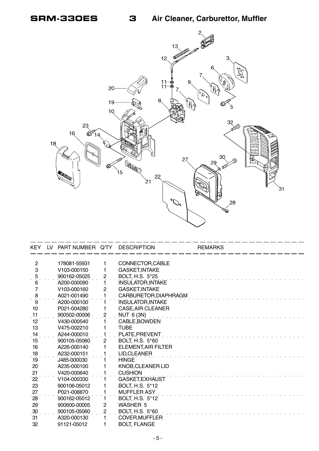

| <b>KEY</b>          | LV. | PART NUMBER Q'TY DESCRIPTION |                |                            | <b>REMARKS</b> |  |
|---------------------|-----|------------------------------|----------------|----------------------------|----------------|--|
|                     |     |                              |                |                            |                |  |
| $\overline{c}$<br>3 |     | 178081-55931                 | 1              | CONNECTOR, CABLE           |                |  |
|                     |     | V103-000150                  | 1              | <b>GASKET, INTAKE</b>      |                |  |
| $\overline{5}$      |     | 900162-05025                 | $\overline{c}$ | <b>BOLT, H.S. 5*25</b>     |                |  |
| 6                   |     | A200-000090                  |                | <b>INSULATOR, INTAKE</b>   |                |  |
| $\overline{7}$      |     | V <sub>103</sub> -000160     | $\mathbf{2}$   | <b>GASKET, INTAKE</b>      |                |  |
| $\frac{8}{9}$       |     | A021-001490                  |                | CARBURETOR, DIAPHRAGM      |                |  |
|                     |     | A200-000100                  |                | <b>INSULATOR, INTAKE</b>   |                |  |
| 10                  |     | P021-004280                  |                | <b>CASE, AIR CLEANER</b>   |                |  |
| 11                  |     | 900502-00006                 | 2              | NUT 6 (3N)                 |                |  |
| 12                  |     | V430-000540                  |                | CABLE, BOWDEN              |                |  |
| 13                  |     | V475-002210                  |                | <b>TUBE</b>                |                |  |
| 14                  |     | A244-000010                  |                | PLATE, PREVENT             |                |  |
| 15                  |     | 900105-05060                 | $\overline{c}$ | BOLT, H.S. 5*60            |                |  |
| 16                  |     | A226-000140                  |                | <b>ELEMENT, AIR FILTER</b> |                |  |
| 18                  |     | A232-000151                  |                | LID, CLEANER               |                |  |
| 19                  |     | J485-000030                  |                | <b>HINGE</b>               |                |  |
| 20                  |     | A235-000100                  |                | <b>KNOB, CLEANER LID</b>   |                |  |
| 21                  |     | V420-000640                  |                | <b>CUSHION</b>             |                |  |
| 22                  |     | V104-000330                  |                | <b>GASKET, EXHAUST</b>     |                |  |
| 23                  |     | 900106-05012                 |                | <b>BOLT, H.S. 5*12</b>     |                |  |
| 27                  |     | P021-008870                  |                | <b>MUFFLER ASY</b>         |                |  |
| 28                  |     | 900162-05012                 | 1.             | <b>BOLT, H.S. 5*12</b>     |                |  |
| 29                  |     | 900600-00005                 | $\overline{c}$ | WASHER 5                   |                |  |
| $\overline{.30}$    |     | 900105-05060                 | $\overline{2}$ | BOLT, H.S. 5*60            |                |  |
| 31                  |     | A320-000130                  |                | COVER, MUFFLER             |                |  |
| 32                  |     | 91121-05012                  | 1              | <b>BOLT, FLANGE</b>        |                |  |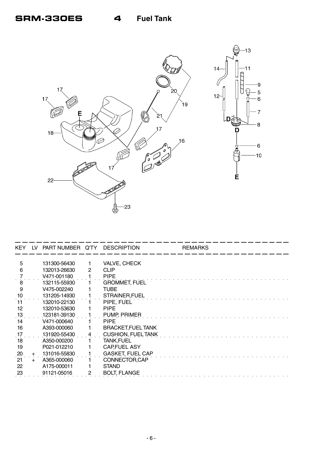

| KEY.           | LV. | PART NUMBER Q'TY DESCRIPTION |   |                           | <b>REMARKS</b> |
|----------------|-----|------------------------------|---|---------------------------|----------------|
|                |     |                              |   |                           |                |
| 5              |     | 131300-56430                 |   | <b>VALVE, CHECK</b>       |                |
| 6              |     | 132013-26630                 | 2 | <b>CLIP</b>               |                |
|                |     | V471-001180                  |   | <b>PIPE</b>               |                |
| 8              |     | 132115-55930                 |   | <b>GROMMET, FUEL</b>      |                |
| 9              |     | V475-002240                  |   | <b>TUBE</b>               |                |
| 10             |     | 131205-14930                 |   | STRAINER.FUEL             |                |
| 11             |     | 132010-22130                 |   | PIPE, FUEL                |                |
| 12             |     | 132010-53630                 |   | <b>PIPE</b>               |                |
| $\frac{13}{1}$ |     | 123181-39130                 |   | PUMP, PRIMER              |                |
| 14             |     | V471-000640                  |   | <b>PIPE</b>               |                |
| 16             |     | A393-000060                  |   | <b>BRACKET, FUEL TANK</b> |                |
| 17             |     | 131920-55430                 | 4 | <b>CUSHION, FUEL TANK</b> |                |
| 18             |     | A350-000200                  |   | <b>TANK, FUEL</b>         |                |
| 19             |     | P021-012210                  |   | <b>CAP FUEL ASY</b>       |                |
| 20             | $+$ | 131016-55830                 |   | <b>GASKET, FUEL CAP</b>   |                |
| 21             | $+$ | A365-000060                  |   | CONNECTOR, CAP            |                |
| 22             |     | A175-000011                  |   | <b>STAND</b>              |                |
| 23             |     | 91121-05016                  |   | <b>BOLT, FLANGE</b>       |                |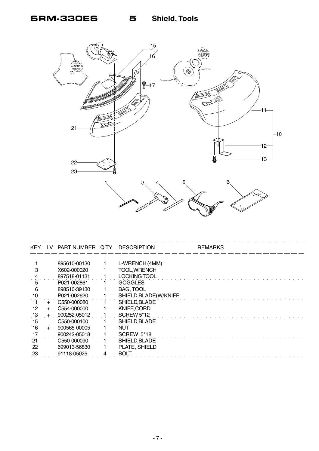

| <b>KEY</b> | LV    | PART NUMBER Q'TY | <b>DESCRIPTION</b>     | <b>REMARKS</b> |
|------------|-------|------------------|------------------------|----------------|
|            |       |                  |                        |                |
|            |       | 895610-00130     | L-WRENCH (4MM)         |                |
| з          |       | X602-000020      | <b>TOOL, WRENCH</b>    |                |
|            |       | 897518-01131     | <b>LOCKING TOOL</b>    |                |
| 5          |       | P021-002861      | <b>GOGGLES</b>         |                |
| 6          |       | 898510-39130     | <b>BAG, TOOL</b>       |                |
| 10         |       | P021-002620      | SHIELD, BLADE (W/KNIFE |                |
| 11         | $\pm$ | C550-000080      | SHIELD, BLADE          |                |
| 12         | $+$   | C554-000000      | KNIFE, CORD            |                |
| $.13$ .    | $+$   | 900252-05012     | <b>SCREW 5*12</b>      |                |
| 15         |       | C550-000100      | SHIELD, BLADE          |                |
| 16         | $+$   | 900565-00005     | <b>NUT</b>             |                |
| 17         |       | 900242-05018     | <b>SCREW 5*18</b>      |                |
| 21         |       | C550-000090      | SHIELD, BLADE          |                |
| 22         |       | 699013-56830     | PLATE, SHIELD          |                |
| 23         |       | 91118-05025      | <b>BOLT</b>            |                |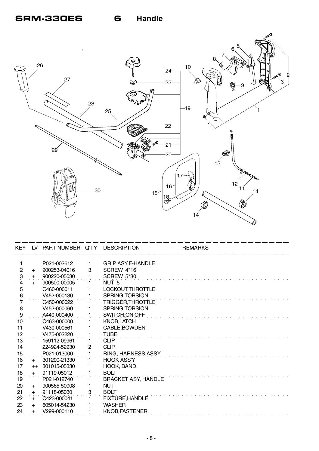

| KEY.            |      | LV PART NUMBER Q'TY DESCRIPTION |   |                            | <b>REMARKS</b> |
|-----------------|------|---------------------------------|---|----------------------------|----------------|
|                 |      | P021-002612                     | 1 | <b>GRIP ASY, F-HANDLE</b>  |                |
| $\overline{2}$  | $+$  | 900253-04016                    | 3 | SCREW 4*16                 |                |
| 3               | $+$  | 900220-05030                    |   | <b>SCREW 5*30</b>          |                |
|                 | $+$  | 900500-00005                    |   | NUT <sub>5</sub>           |                |
| 5               |      | C460-000011                     |   | LOCKOUT, THROTTLE          |                |
| 6               |      | V452-000130                     |   | SPRING, TORSION            |                |
|                 |      | C450-000022                     |   | TRIGGER, THROTTLE          |                |
| 8               |      | V452-000060                     |   | SPRING, TORSION            |                |
| $\ddot{\theta}$ |      | A440-000400                     |   | SWITCH, ON OFF             |                |
| 10              |      | C463-000000                     |   | <b>KNOB,LATCH</b>          |                |
| 11              |      | V430-000561                     |   | CABLE, BOWDEN              |                |
| 12              |      | V475-002220                     |   | <b>TUBE</b>                |                |
| 13              |      | 159112-09961                    |   | <b>CLIP</b>                |                |
| 14              |      | 224924-52930                    | 2 | <b>CLIP</b>                |                |
| 15              |      | P021-013000                     |   | RING, HARNESS ASSY         |                |
| $\overline{16}$ | $+$  | 301200-21330                    |   | <b>HOOK ASS'Y</b>          |                |
| 17              | $++$ | 301015-05330                    |   | HOOK, BAND                 |                |
| $\frac{18}{19}$ | $+$  | 91119-05012                     |   | <b>BOLT</b>                |                |
|                 |      | P021-012740                     |   | <b>BRACKET ASY, HANDLE</b> |                |
| 20              | $+$  | 900565-50008                    |   | <b>NUT</b>                 |                |
| 21              | $+$  | 91118-05030                     | 3 | <b>BOLT</b>                |                |
| 22              | $+$  | C423-000041                     |   | <b>FIXTURE, HANDLE</b>     |                |
| 23              | $+$  | 605014-54230                    |   | <b>WASHER</b>              |                |
| 24              |      | V299-000110                     |   | KNOB, FASTENER             |                |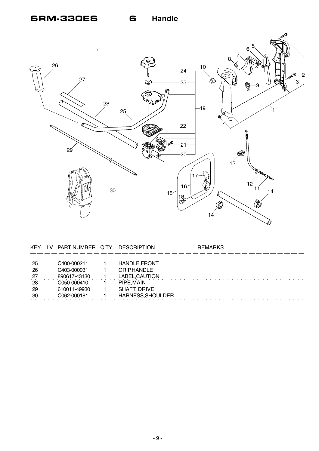### **SRM-330ES**

**Handle** 



| <b>KEY</b> | TV. | PART NUMBER Q'TY | <b>DESCRIPTION</b>   | <b>REMARKS</b> |
|------------|-----|------------------|----------------------|----------------|
| -25        |     | C400-000211      | <b>HANDLE, FRONT</b> |                |
| 26         |     | C403-000031      | <b>GRIP,HANDLE</b>   |                |
| $^{27}$    |     | 890617-43130     | LABEL, CAUTION       |                |
| 28         |     | C050-000410      | PIPE, MAIN           |                |
| -29        |     | 610011-49930     | <b>SHAFT, DRIVE</b>  |                |
| -30        |     | C062-000181      | HARNESS, SHOULDER    |                |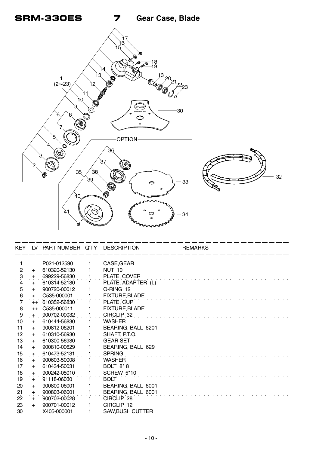

| <b>KEY</b>          |      | LV PART NUMBER Q'TY DESCRIPTION |                       | <b>REMARKS</b> |
|---------------------|------|---------------------------------|-----------------------|----------------|
|                     |      | P021-012590                     | CASE, GEAR            |                |
| $\overline{2}$      | $+$  | 610320-52130                    | <b>NUT 10</b>         |                |
| $\ddot{\mathbf{3}}$ | $+$  | 699229-56830                    | PLATE, COVER          |                |
| 4                   | $+$  | 610314-52130                    | PLATE, ADAPTER (L)    |                |
| 5                   | $+$  | 900720-00012                    | O-RING 12             |                |
| 6                   | $+$  | C535-000001                     | <b>FIXTURE, BLADE</b> |                |
| $\dot{7}$           | $++$ | 610352-56830                    | PLATE, CUP            |                |
| 8                   | $++$ | C535-000011                     | FIXTURE, BLADE        |                |
| 9                   | $+$  | 900702-00032                    | CIRCLIP 32            |                |
| 10                  | $+$  | 610444-56830                    | <b>WASHER</b>         |                |
| 11                  | $+$  | 900812-06201                    | BEARING, BALL 6201    |                |
| 12                  | $+$  | 610310-56930                    | SHAFT, P.T.O.         |                |
| 13                  | $+$  | 610300-56930                    | <b>GEAR SET</b>       |                |
| 14                  | $+$  | 900810-00629                    | BEARING, BALL 629     |                |
| 15                  | $+$  | 610473-52131                    | <b>SPRING</b>         |                |
| 16                  | $+$  | 900603-50008                    | <b>WASHER</b>         |                |
| 17                  | $+$  | 610434-50031                    | BOLT 8*8              |                |
| 18                  | $+$  | 900242-05010                    | <b>SCREW 5*10</b>     |                |
| 19                  | $+$  | 91118-06030                     | <b>BOLT</b>           |                |
| 20                  | $+$  | 900800-06001                    | BEARING, BALL 6001    |                |
| $\frac{21}{22}$     | $+$  | 900803-06001                    | BEARING, BALL 6001    |                |
|                     | $+$  | 900702-00028                    | CIRCLIP 28            |                |
| 23                  | $+$  | 900701-00012                    | CIRCLIP 12            |                |
| $\overline{.}30$    |      | X405-000001                     | SAW, BUSH CUTTER      |                |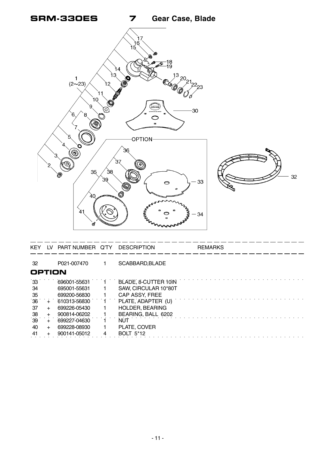

| KEY           | LV PART NUMBER Q'TY | <b>DESCRIPTION</b>   | <b>REMARKS</b> |
|---------------|---------------------|----------------------|----------------|
| -32           | P021-007470         | SCABBARD, BLADE      |                |
| <b>OPTION</b> |                     |                      |                |
| 33            | 696001-55631 1      | BLADE, 8-CUTTER 10IN |                |
| -34           | 695001-55631        | SAW, CIRCULAR 10*80T |                |
| -35           | 699200-56830        | CAP ASSY, FREE       |                |
| 36            | 610313-56830        | PLATE ADAPTER (U)    |                |

|        |                       | $36 + 610313 - 56830$ 1 PLATE, ADAPTER (U) |
|--------|-----------------------|--------------------------------------------|
| $37 +$ | 699226-05430          | HOLDER, BEARING                            |
| $38 +$ | 900814-06202          | BEARING, BALL 6202                         |
|        | $39 + 699227 - 04630$ | <b>NUT</b>                                 |
| 40 +   | 699228-08930          | PLATE, COVER                               |
| $41 +$ | 900141-05012          | <b>BOLT 5*12</b>                           |

○○○○○ ○○○○○○○○○○○○○○○○○○○○○○○○○○○○○○○○○○○○○○○○○○○○○○○○○○○○○○○○○○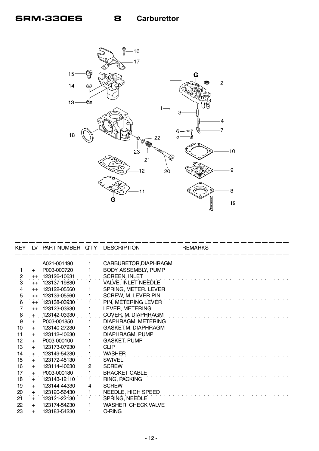

| <b>KEY</b>          |         | LV PART NUMBER Q'TY |                | <b>DESCRIPTION</b>         | <b>REMARKS</b> |
|---------------------|---------|---------------------|----------------|----------------------------|----------------|
|                     |         |                     |                |                            |                |
|                     |         | A021-001490         | 1              | CARBURETOR, DIAPHRAGM      |                |
|                     | $+$     | P003-000720         |                | <b>BODY ASSEMBLY, PUMP</b> |                |
| $\frac{2}{x}$       | $^{++}$ | 123126-10631        |                | <b>SCREEN, INLET</b>       |                |
| 3                   | $++$    | 123137-19830        |                | VALVE, INLET NEEDLE        |                |
| $\overline{4}$      | $++$    | 123122-05560        |                | SPRING, METER. LEVER       |                |
| $\mathbf 5$         | $++$    | 123139-05560        |                | SCREW, M. LEVER PIN        |                |
| $\ddot{6}$          | $++$    | 123138-03930        |                | PIN, METERING LEVER        |                |
| $\overline{7}$      | $++$    | 123123-03930        |                | LEVER, METERING            |                |
| $\ddot{\mathbf{8}}$ | $+$     | 123142-03930        |                | COVER, M. DIAPHRAGM        |                |
| 9                   | $+$     | P003-001850         |                | DIAPHRAGM, METERING        |                |
| 10                  | $+$     | 123140-27230        |                | GASKET, M. DIAPHRAGM       |                |
| $\frac{11}{2}$      | $+$     | 123112-40630        |                | DIAPHRAGM, PUMP            |                |
| 12                  | $+$     | P003-000100         |                | <b>GASKET, PUMP</b>        |                |
| 13                  | $+$     | 123173-07930        |                | <b>CLIP</b>                |                |
| 14                  | $+$     | 123149-54230        |                | <b>WASHER</b>              |                |
| $\dot{15}$          | $+$     | 123172-45130        | 1.             | SWIVEL                     |                |
| 16                  | $+$     | 123114-40630        | $\overline{2}$ | <b>SCREW</b>               |                |
| 17                  | $+$     | P003-000180         |                | <b>BRACKET CABLE</b>       |                |
| 18                  | $+$     | 123143-12110        |                | RING, PACKING              |                |
| 19                  | $+$     | 123144-44330        | 4              | <b>SCREW</b>               |                |
| 20                  | $+$     | 123120-56430        |                | NEEDLE, HIGH SPEED         |                |
| 21                  | $+$     | 123121-22130        |                | SPRING, NEEDLE             |                |
| 22                  | $+$     | 123174-54230        |                | <b>WASHER, CHECK VALVE</b> |                |
| 23                  |         | 123183-54230        |                | O-RING                     |                |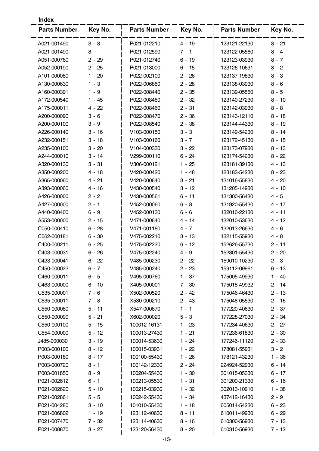| <b>Index</b>        |          |                     |          |                     |          |
|---------------------|----------|---------------------|----------|---------------------|----------|
| <b>Parts Number</b> | Key No.  | <b>Parts Number</b> | Key No.  | <b>Parts Number</b> | Key No.  |
| A021-001490         | $3 - 8$  | P021-012210         | $4 - 19$ | 123121-22130        | $8 - 21$ |
| A021-001490         | $8 -$    | P021-012590         | $7 - 1$  | 123122-05560        | $8 - 4$  |
| A051-000760         | $2 - 29$ | P021-012740         | $6 - 19$ | 123123-03930        | $8 - 7$  |
| A052-000190         | $2 - 25$ | P021-013000         | $6 - 15$ | 123126-10631        | $8 - 2$  |
| A101-000080         | $1 - 20$ | P022-002100         | $2 - 26$ | 123137-19830        | $8 - 3$  |
| A130-000630         | $1 - 3$  | P022-006850         | $2 - 28$ | 123138-03930        | $8 - 6$  |
| A160-000391         | $1 - 9$  | P022-008440         | $2 - 35$ | 123139-05560        | $8 - 5$  |
| A172-000540         | $1 - 45$ | P022-008450         | $2 - 32$ | 123140-27230        | $8 - 10$ |
| A175-000011         | $4 - 22$ | P022-008460         | $2 - 31$ | 123142-03930        | 8 - 8    |
| A200-000090         | $3 - 6$  | P022-008470         | $2 - 36$ | 123143-12110        | $8 - 18$ |
| A200-000100         | $3 - 9$  | P022-008540         | $2 - 38$ | 123144-44330        | $8 - 19$ |
| A226-000140         | $3 - 16$ | V103-000150         | $3 - 3$  | 123149-54230        | $8 - 14$ |
| A232-000151         | $3 - 18$ | V103-000160         | $3 - 7$  | 123172-45130        | $8 - 15$ |
| A235-000100         | $3 - 20$ | V104-000330         | $3 - 22$ | 123173-07930        | $8 - 13$ |
| A244-000010         | $3 - 14$ | V299-000110         | $6 - 24$ | 123174-54230        | $8 - 22$ |
| A320-000130         | $3 - 31$ | V306-000121         | $1 - 25$ | 123181-39130        | $4 - 13$ |
| A350-000200         | 4 - 18   | V420-000420         | $1 - 48$ | 123183-54230        | $8 - 23$ |
| A365-000060         | $4 - 21$ | V420-000640         | $3 - 21$ | 131016-55830        | $4 - 20$ |
| A393-000060         | $4 - 16$ | V430-000540         | 3 - 12   | 131205-14930        | $4 - 10$ |
| A426-000000         | $2 - 2$  | V430-000561         | $6 - 11$ | 131300-56430        | $4 - 5$  |
| A427-000000         | $2 - 1$  | V452-000060         | $6 - 8$  | 131920-55430        | 4 - 17   |
| A440-000400         | $6 - 9$  | V452-000130         | $6 - 6$  | 132010-22130        | $4 - 11$ |
| A553-000000         | $2 - 15$ | V471-000640         | $4 - 14$ | 132010-53630        | 4 - 12   |
| C050-000410         | $6 - 28$ | V471-001180         | $4 - 7$  | 132013-26630        | 4 - 6    |
| C062-000181         | $6 - 30$ | V475-002210         | $3 - 13$ | 132115-55930        | 4 - 8    |
| C400-000211         | $6 - 25$ | V475-002220         | 6 - 12   | 152626-55730        | 2 - 11   |
| C403-000031         | $6 - 26$ | V475-002240         | 4 - 9    | 152801-55430        | $2 - 20$ |
| C423-000041         | $6 - 22$ | V485-000230         | $2 - 22$ | 159010-10230        | $2 - 3$  |
| C450-000022         | $6 - 7$  | V485-000240         | $2 - 23$ | 159112-09961        | 6 - 13   |
| C460-000011         | $6 - 5$  | V495-000760         | $1 - 37$ | 175005-49930        | 1 - 40   |
| C463-000000         | $6 - 10$ | X405-000001         | $7 - 30$ | 175018-49932        | $2 - 14$ |
| C535-000001         | $7 - 6$  | X502-000520         | $2 - 42$ | 175046-46430        | $2 - 13$ |
| C535-000011         | $7 - 8$  | X530-000210         | $2 - 43$ | 175048-05530        | $2 - 16$ |
| C550-000080         | $5 - 11$ | X547-000670         | $1 - 1$  | 177220-40630        | $2 - 37$ |
| C550-000090         | $5 - 21$ | X602-000020         | $5 - 3$  | 177228-27030        | $2 - 34$ |
| C550-000100         | $5 - 15$ | 100012-16131        | $1 - 23$ | 177234-40630        | $2 - 27$ |
| C554-000000         | $5 - 12$ | 100013-27430        | $1 - 21$ | 177236-61830        | $2 - 30$ |
| J485-000030         | $3 - 19$ | 100014-53630        | $1 - 24$ | 177246-11120        | $2 - 33$ |
| P003-000100         | $8 - 12$ | 100015-03931        | $1 - 22$ | 178081-55931        | $3 - 2$  |
| P003-000180         | $8 - 17$ | 100100-55430        | $1 - 26$ | 178121-43230        | $1 - 36$ |
| P003-000720         | $8 - 1$  | 100142-12330        | $2 - 24$ | 224924-52930        | $6 - 14$ |
| P003-001850         | $8 - 9$  | 100204-55430        | $1 - 30$ | 301015-05330        | $6 - 17$ |
| P021-002612         | $6 - 1$  | 100213-05530        | $1 - 31$ | 301200-21330        | $6 - 16$ |
| P021-002620         | $5 - 10$ | 100215-03930        | 1 - 32   | 302013-10910        | $1 - 38$ |
| P021-002861         | $5 - 5$  | 100242-55430        | $1 - 34$ | 437412-16430        | $2 - 9$  |
| P021-004280         | $3 - 10$ | 101010-55430        | $1 - 18$ | 605014-54230        | $6 - 23$ |
| P021-006802         | $1 - 19$ | 123112-40630        | $8 - 11$ | 610011-49930        | $6 - 29$ |
| P021-007470         | $7 - 32$ | 123114-40630        | $8 - 16$ | 610300-56930        | $7 - 13$ |
| P021-008870         | $3 - 27$ | 123120-56430        | $8 - 20$ | 610310-56930        | $7 - 12$ |
|                     |          |                     |          |                     |          |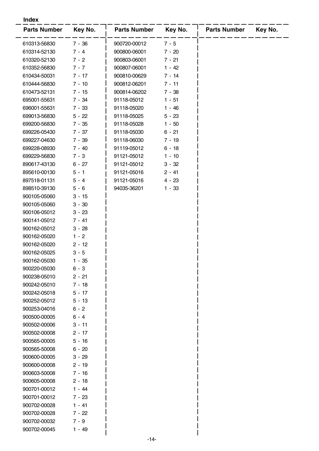#### **Index**

| <b>Parts Number</b> | Key No.  | <b>Parts Number</b> | Key No.  | <b>Parts Number</b> | Key No. |
|---------------------|----------|---------------------|----------|---------------------|---------|
|                     |          |                     |          |                     |         |
| 610313-56830        | $7 - 36$ | 900720-00012        | $7 - 5$  |                     |         |
| 610314-52130        | $7 - 4$  | 900800-06001        | $7 - 20$ |                     |         |
| 610320-52130        | $7 - 2$  | 900803-06001        | 7 - 21   |                     |         |
| 610352-56830        | $7 - 7$  | 900807-06001        | $1 - 42$ |                     |         |
| 610434-50031        | $7 - 17$ | 900810-00629        | 7 - 14   |                     |         |
| 610444-56830        | $7 - 10$ | 900812-06201        | $7 - 11$ |                     |         |
| 610473-52131        | 7 - 15   | 900814-06202        | $7 - 38$ |                     |         |
| 695001-55631        | 7 - 34   | 91118-05012         | $1 - 51$ |                     |         |
| 696001-55631        | $7 - 33$ | 91118-05020         | $1 - 46$ |                     |         |
| 699013-56830        | $5 - 22$ | 91118-05025         | $5 - 23$ |                     |         |
| 699200-56830        | 7 - 35   | 91118-05028         | $1 - 50$ |                     |         |
| 699226-05430        | $7 - 37$ | 91118-05030         | $6 - 21$ |                     |         |
| 699227-04630        | $7 - 39$ | 91118-06030         | 7 - 19   |                     |         |
| 699228-08930        | $7 - 40$ | 91119-05012         | $6 - 18$ |                     |         |
| 699229-56830        | $7 - 3$  | 91121-05012         | $1 - 10$ |                     |         |
| 890617-43130        | $6 - 27$ | 91121-05012         | $3 - 32$ |                     |         |
| 895610-00130        | $5 - 1$  | 91121-05016         | $2 - 41$ |                     |         |
| 897518-01131        | $5 - 4$  | 91121-05016         | $4 - 23$ |                     |         |
| 898510-39130        | $5 - 6$  | 94035-36201         | $1 - 33$ |                     |         |
| 900105-05060        | $3 - 15$ |                     |          |                     |         |
| 900105-05060        | $3 - 30$ |                     |          |                     |         |
| 900106-05012        | $3 - 23$ |                     |          |                     |         |
| 900141-05012        | $7 - 41$ |                     |          |                     |         |
| 900162-05012        | $3 - 28$ |                     |          |                     |         |
| 900162-05020        | $1 - 2$  |                     |          |                     |         |
| 900162-05020        | $2 - 12$ |                     |          |                     |         |
| 900162-05025        | $3 - 5$  |                     |          |                     |         |
| 900162-05030        | 1 - 35   |                     |          |                     |         |
| 900220-05030        | 6 - 3    |                     |          |                     |         |
| 900238-05010        | $2 - 21$ |                     |          |                     |         |
| 900242-05010        | $7 - 18$ |                     |          |                     |         |
| 900242-05018        | $5 - 17$ |                     |          |                     |         |
| 900252-05012        | $5 - 13$ |                     |          |                     |         |
| 900253-04016        | $6 - 2$  |                     |          |                     |         |
| 900500-00005        | $6 - 4$  |                     |          |                     |         |
| 900502-00006        | $3 - 11$ |                     |          |                     |         |
| 900502-00008        | $2 - 17$ |                     |          |                     |         |
| 900565-00005        | $5 - 16$ |                     |          |                     |         |
| 900565-50008        | $6 - 20$ |                     |          |                     |         |
| 900600-00005        | $3 - 29$ |                     |          |                     |         |
| 900600-00008        | $2 - 19$ |                     |          |                     |         |
| 900603-50008        | $7 - 16$ |                     |          |                     |         |
| 900605-00008        | $2 - 18$ |                     |          |                     |         |
| 900701-00012        | $1 - 44$ |                     |          |                     |         |
| 900701-00012        | 7 - 23   |                     |          |                     |         |
| 900702-00028        | $1 - 41$ |                     |          |                     |         |
| 900702-00028        | 7 - 22   |                     |          |                     |         |
| 900702-00032        | $7 - 9$  |                     |          |                     |         |
| 900702-00045        | $1 - 49$ |                     |          |                     |         |